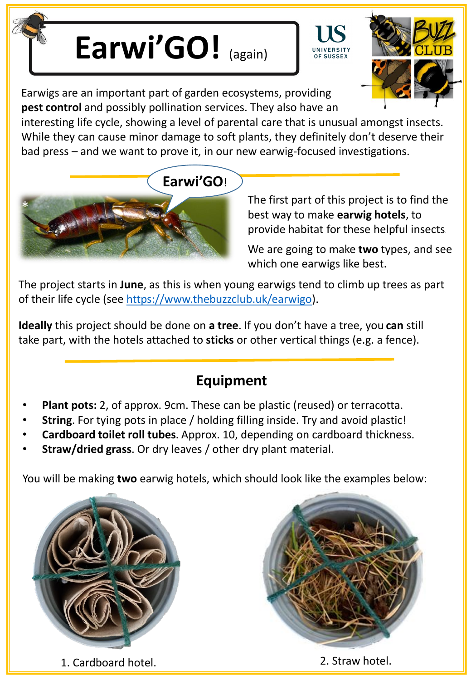# **Earwi'GO!** (again)

Earwigs are an important part of garden ecosystems, providing **pest control** and possibly pollination services. They also have an

interesting life cycle, showing a level of parental care that is unusual amongst insects. While they can cause minor damage to soft plants, they definitely don't deserve their bad press – and we want to prove it, in our new earwig-focused investigations.



The first part of this project is to find the best way to make **earwig hotels**, to provide habitat for these helpful insects.

We are going to make **two** types, and see which one earwigs like best.

The project starts in **June**, as this is when young earwigs tend to climb up trees as part of their life cycle (see [https://www.thebuzzclub.uk/earwigo\)](https://www.thebuzzclub.uk/earwigo).

**Ideally** this project should be done on **a tree**. If you don't have a tree, you **can** still take part, with the hotels attached to **sticks** or other vertical things (e.g. a fence).

### **Equipment**

- **Plant pots:** 2, of approx. 9cm. These can be plastic (reused) or terracotta.
- **String**. For tying pots in place / holding filling inside. Try and avoid plastic!
- **Cardboard toilet roll tubes**. Approx. 10, depending on cardboard thickness.
- **Straw/dried grass**. Or dry leaves / other dry plant material.

You will be making **two** earwig hotels, which should look like the examples below:





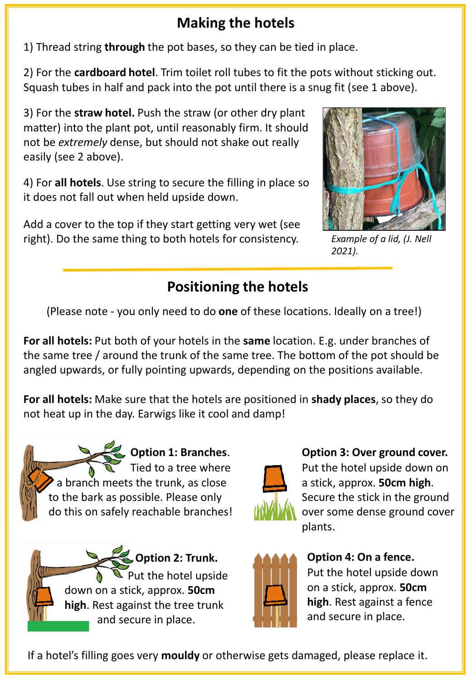#### **Making the hotels**

1) Thread string **through** the pot bases, so they can be tied in place.

2) For the **cardboard hotel**. Trim toilet roll tubes to fit the pots without sticking out. Squash tubes in half and pack into the pot until there is a snug fit (see 1 above).

3) For the **straw hotel.** Push the straw (or other dry plant matter) into the plant pot, until reasonably firm. It should not be *extremely* dense, but should not shake out really easily (see 2 above).

4) For **all hotels**. Use string to secure the filling in place so it does not fall out when held upside down.

Add a cover to the top if they start getting very wet (see right). Do the same thing to both hotels for consistency.



*Example of a lid, (J. Nell 2021).*

#### **Positioning the hotels**

(Please note - you only need to do **one** of these locations. Ideally on a tree!)

**For all hotels:** Put both of your hotels in the **same** location. E.g. under branches of the same tree / around the trunk of the same tree. The bottom of the pot should be angled upwards, or fully pointing upwards, depending on the positions available.

**For all hotels:** Make sure that the hotels are positioned in **shady places**, so they do not heat up in the day. Earwigs like it cool and damp!







**Option 3: Over ground cover.**  Put the hotel upside down on a stick, approx. **50cm high**. Secure the stick in the ground over some dense ground cover plants.



**Option 4: On a fence.** Put the hotel upside down on a stick, approx. **50cm high**. Rest against a fence and secure in place.

If a hotel's filling goes very **mouldy** or otherwise gets damaged, please replace it.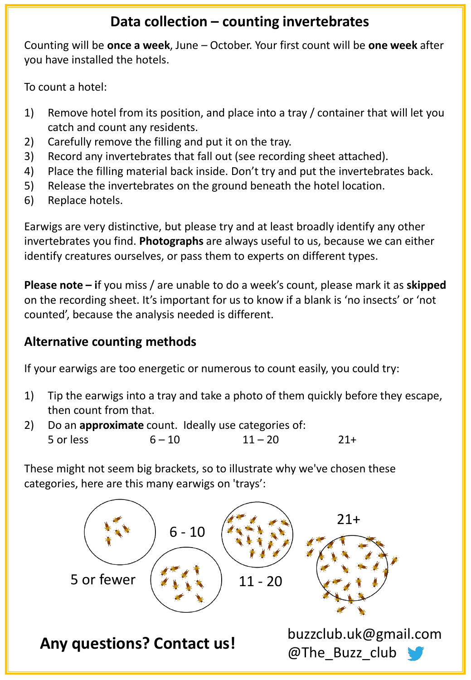#### **Data collection – counting invertebrates**

Counting will be **once a week**, June – October. Your first count will be **one week** after you have installed the hotels.

To count a hotel:

- 1) Remove hotel from its position, and place into a tray / container that will let you catch and count any residents.
- 2) Carefully remove the filling and put it on the tray.
- 3) Record any invertebrates that fall out (see recording sheet attached).
- 4) Place the filling material back inside. Don't try and put the invertebrates back.
- 5) Release the invertebrates on the ground beneath the hotel location.
- 6) Replace hotels.

Earwigs are very distinctive, but please try and at least broadly identify any other invertebrates you find. **Photographs** are always useful to us, because we can either identify creatures ourselves, or pass them to experts on different types.

**Please note – i**f you miss / are unable to do a week's count, please mark it as **skipped** on the recording sheet. It's important for us to know if a blank is 'no insects' or 'not counted', because the analysis needed is different.

#### **Alternative counting methods**

If your earwigs are too energetic or numerous to count easily, you could try:

- 1) Tip the earwigs into a tray and take a photo of them quickly before they escape, then count from that.
- 2) Do an **approximate** count. Ideally use categories of:  $5 \text{ or } \text{less}$   $6-10$   $11-20$   $21+$

These might not seem big brackets, so to illustrate why we've chosen these categories, here are this many earwigs on 'trays':